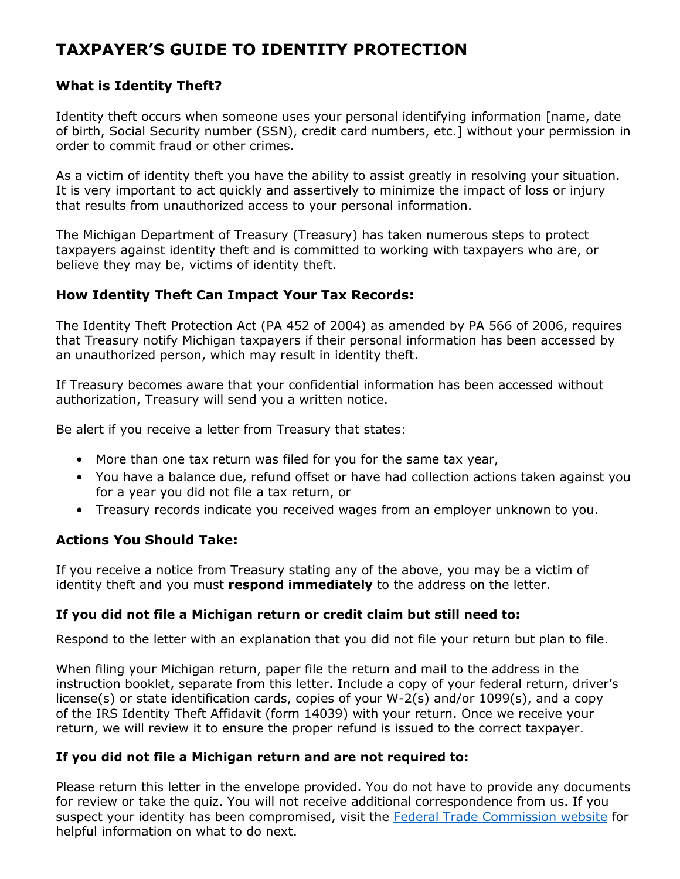# **TAXPAYER'S GUIDE TO IDENTITY PROTECTION**

### **What is Identity Theft?**

Identity theft occurs when someone uses your personal identifying information [name, date of birth, Social Security number (SSN), credit card numbers, etc.] without your permission in order to commit fraud or other crimes.

As a victim of identity theft you have the ability to assist greatly in resolving your situation. It is very important to act quickly and assertively to minimize the impact of loss or injury that results from unauthorized access to your personal information.

The Michigan Department of Treasury (Treasury) has taken numerous steps to protect taxpayers against identity theft and is committed to working with taxpayers who are, or believe they may be, victims of identity theft.

#### **How Identity Theft Can Impact Your Tax Records:**

The Identity Theft Protection Act (PA 452 of 2004) as amended by PA 566 of 2006, requires that Treasury notify Michigan taxpayers if their personal information has been accessed by an unauthorized person, which may result in identity theft.

If Treasury becomes aware that your confidential information has been accessed without authorization, Treasury will send you a written notice.

Be alert if you receive a letter from Treasury that states:

- More than one tax return was filed for you for the same tax year,
- You have a balance due, refund offset or have had collection actions taken against you for a year you did not file a tax return, or
- Treasury records indicate you received wages from an employer unknown to you.

#### **Actions You Should Take:**

If you receive a notice from Treasury stating any of the above, you may be a victim of identity theft and you must **respond immediately** to the address on the letter.

#### **If you did not file a Michigan return or credit claim but still need to:**

Respond to the letter with an explanation that you did not file your return but plan to file.

When filing your Michigan return, paper file the return and mail to the address in the instruction booklet, separate from this letter. Include a copy of your federal return, driver's license(s) or state identification cards, copies of your W-2(s) and/or 1099(s), and a copy of the IRS Identity Theft Affidavit (form 14039) with your return. Once we receive your return, we will review it to ensure the proper refund is issued to the correct taxpayer.

#### **If you did not file a Michigan return and are not required to:**

Please return this letter in the envelope provided. You do not have to provide any documents for review or take the quiz. You will not receive additional correspondence from us. If you suspect your identity has been compromised, visit the [Federal Trade Commission website](https://www.ftc.gov/) for helpful information on what to do next.